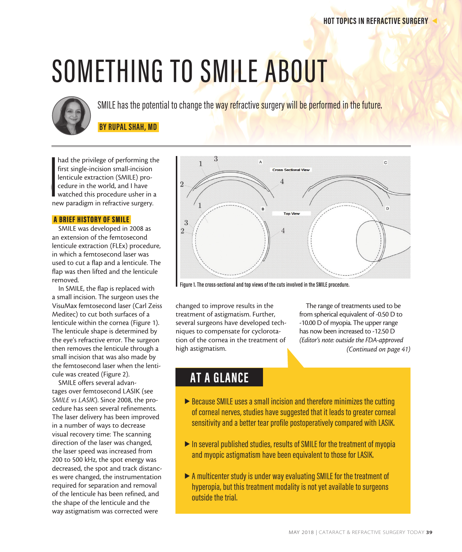# SOMETHING TO SMILE ABOUT



SMILE has the potential to change the way refractive surgery will be performed in the future.

 **BY RUPAL SHAH, MD** 

lenticule extraction (SMILE) pro-■ watched this procedure usher in a<br>new paradigm in refractive surgery. **I**<br>Ine had the privilege of performing the first single-incision small-incision cedure in the world, and I have watched this procedure usher in a

#### A BRIEF HISTORY OF SMILE

SMILE was developed in 2008 as an extension of the femtosecond lenticule extraction (FLEx) procedure, in which a femtosecond laser was used to cut a flap and a lenticule. The flap was then lifted and the lenticule removed.

In SMILE, the flap is replaced with a small incision. The surgeon uses the VisuMax femtosecond laser (Carl Zeiss Meditec) to cut both surfaces of a lenticule within the cornea (Figure 1). The lenticule shape is determined by the eye's refractive error. The surgeon then removes the lenticule through a small incision that was also made by the femtosecond laser when the lenticule was created (Figure 2).

SMILE offers several advantages over femtosecond LASIK (see *SMILE vs LASIK*). Since 2008, the procedure has seen several refinements. The laser delivery has been improved in a number of ways to decrease visual recovery time: The scanning direction of the laser was changed, the laser speed was increased from 200 to 500 kHz, the spot energy was decreased, the spot and track distances were changed, the instrumentation required for separation and removal of the lenticule has been refined, and the shape of the lenticule and the way astigmatism was corrected were



**Figure 1. The cross-sectional and top views of the cuts involved in the SMILE procedure.**

changed to improve results in the treatment of astigmatism. Further, several surgeons have developed techniques to compensate for cyclorotation of the cornea in the treatment of high astigmatism.

The range of treatments used to be from spherical equivalent of -0.50 D to -10.00 D of myopia. The upper range has now been increased to -12.50 D *(Editor's note: outside the FDA-approved (Continued on page 41)*

### **AT A GLANCE**

- ▶ Because SMILE uses a small incision and therefore minimizes the cutting of corneal nerves, studies have suggested that it leads to greater corneal sensitivity and a better tear profile postoperatively compared with LASIK.
- $\blacktriangleright$  In several published studies, results of SMILE for the treatment of myopia and myopic astigmatism have been equivalent to those for LASIK.
- $\blacktriangleright$  A multicenter study is under way evaluating SMILE for the treatment of hyperopia, but this treatment modality is not yet available to surgeons outside the trial.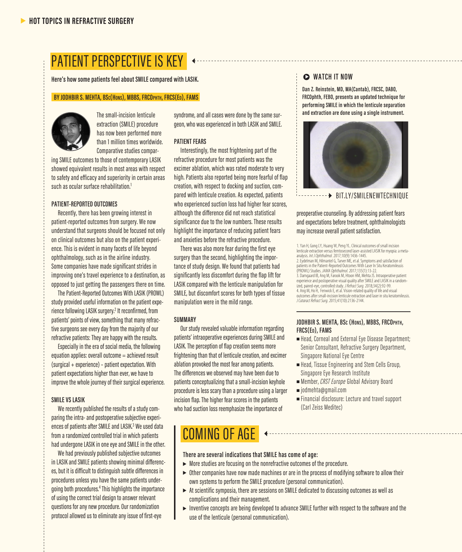## PATIENT PERSPECTIVE IS KEY

**Here's how some patients feel about SMILE compared with LASIK.**

#### **BY JODHBIR S. MEHTA, BSc(Hons), MBBS, FRCOphth, FRCS(Ed), FAMS**



The small-incision lenticule extraction (SMILE) procedure has now been performed more than 1 million times worldwide. Comparative studies compar-

ing SMILE outcomes to those of contemporary LASIK showed equivalent results in most areas with respect to safety and efficacy and superiority in certain areas such as ocular surface rehabilitation.<sup>1</sup>

#### **PATIENT-REPORTED OUTCOMES**

Recently, there has been growing interest in patient-reported outcomes from surgery. We now understand that surgeons should be focused not only on clinical outcomes but also on the patient experience. This is evident in many facets of life beyond ophthalmology, such as in the airline industry. Some companies have made significant strides in improving one's travel experience to a destination, as opposed to just getting the passengers there on time.

The Patient-Reported Outcomes With LASIK (PROWL) study provided useful information on the patient experience following LASIK surgery.<sup>2</sup> It reconfirmed, from patients' points of view, something that many refractive surgeons see every day from the majority of our refractive patients: They are happy with the results.

Especially in the era of social media, the following equation applies: overall outcome = achieved result (surgical + experience) – patient expectation. With patient expectations higher than ever, we have to improve the whole journey of their surgical experience.

#### **SMILE VS LASIK**

We recently published the results of a study comparing the intra- and postoperative subjective experiences of patients after SMILE and LASIK.<sup>3</sup> We used data from a randomized controlled trial in which patients had undergone LASIK in one eye and SMILE in the other.

We had previously published subjective outcomes in LASIK and SMILE patients showing minimal differences, but it is difficult to distinguish subtle differences in procedures unless you have the same patients undergoing both procedures.4 This highlights the importance of using the correct trial design to answer relevant questions for any new procedure. Our randomization protocol allowed us to eliminate any issue of first-eye

syndrome, and all cases were done by the same surgeon, who was experienced in both LASIK and SMILE.

#### **PATIENT FEARS**

Interestingly, the most frightening part of the refractive procedure for most patients was the excimer ablation, which was rated moderate to very high. Patients also reported being more fearful of flap creation, with respect to docking and suction, compared with lenticule creation. As expected, patients who experienced suction loss had higher fear scores, although the difference did not reach statistical significance due to the low numbers. These results highlight the importance of reducing patient fears and anxieties before the refractive procedure.

There was also more fear during the first eye surgery than the second, highlighting the importance of study design. We found that patients had significantly less discomfort during the flap lift for LASIK compared with the lenticule manipulation for SMILE, but discomfort scores for both types of tissue manipulation were in the mild range.

#### **SUMMARY**

Our study revealed valuable information regarding patients' intraoperative experiences during SMILE and LASIK. The perception of flap creation seems more frightening than that of lenticule creation, and excimer ablation provoked the most fear among patients. The differences we observed may have been due to patients conceptualizing that a small-incision keyhole procedure is less scary than a procedure using a larger incision flap. The higher fear scores in the patients who had suction loss reemphasize the importance of

#### $\triangleright$  **WATCH IT NOW**

**Dan Z. Reinstein, MD, MA(Cantab), FRCSC, DABO, FRCOphth, FEBO, presents an updated technique for performing SMILE in which the lenticule separation and extraction are done using a single instrument.**



preoperative counseling. By addressing patient fears and expectations before treatment, ophthalmologists may increase overall patient satisfaction.

1. Yan H, Gong LY, Huang W, Peng YL. Clinical outcomes of small incision lenticule extraction versus femtosecond laser-assisted LASIK for myopia: a metaanalysis. *Int J Ophthalmol.* 2017;10(9):1436-1445. 2. Eydelman M, Hilmantel G, Tarver ME, et al. Symptoms and satisfaction of patients in the Patient-Reported Outcomes With Laser In Situ Keratomileusis (PROWL) Studies. *JAMA Ophthalmol.* 2017;135(1):13-22. 3. Damgaard IB, Ang M, Farook M, Htoon HM, Mehta JS. Intraoperative patient experience and postoperative visual quality after SMILE and LASIK in a random- ized, paired-eye, controlled study. *J Refract Surg.* 2018;34(2):92-99. 4. Ang M, Ho H, Fenwick E, et al. Vision-related quality of life and visual outcomes after small-incision lenticule extraction and laser in situ keratomileusis. *J Cataract Refract Surg*. 2015;41(10):2136-2144.

#### **JODHBIR S. MEHTA, BSc (Hons), MBBS, FRCOphth, FRCS(Ed), FAMS**

- Head, Corneal and External Eye Disease Department; Senior Consultant, Refractive Surgery Department, Singapore National Eye Centre
- <sup>n</sup> Head, Tissue Engineering and Stem Cells Group, Singapore Eye Research Institute
- <sup>n</sup> Member, *CRST Europe* Global Advisory Board
- <sup>n</sup> jodmehta@gmail.com
- $\blacksquare$  Financial disclosure: Lecture and travel support (Carl Zeiss Meditec)

## COMING OF AGE

#### **There are several indications that SMILE has come of age:**

- $\blacktriangleright$  More studies are focusing on the nonrefractive outcomes of the procedure.
- $\triangleright$  Other companies have now made machines or are in the process of modifying software to allow their own systems to perform the SMILE procedure (personal communication).
- $\triangleright$  At scientific symposia, there are sessions on SMILE dedicated to discussing outcomes as well as complications and their management.
- $\blacktriangleright$  Inventive concepts are being developed to advance SMILE further with respect to the software and the use of the lenticule (personal communication).